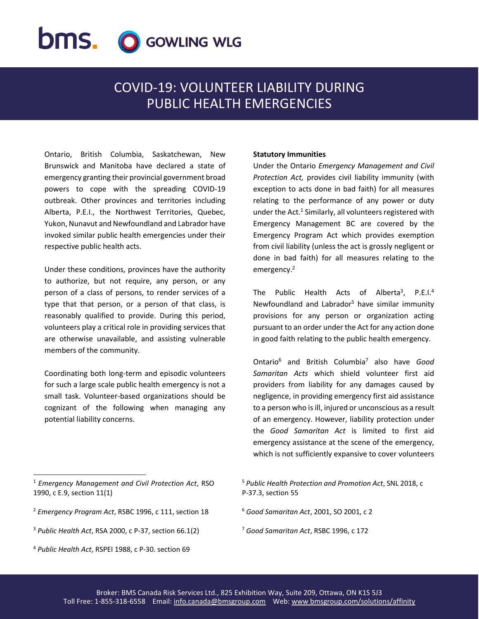# **bms.** O GOWLING WLG

# COVID-19: VOLUNTEER LIABILITY DURING PUBLIC HEALTH EMERGENCIES

Ontario, British Columbia, Saskatchewan, New Brunswick and Manitoba have declared a state of emergency granting their provincial government broad powers to cope with the spreading COVID-19 outbreak. Other provinces and territories including Alberta, P.E.I., the Northwest Territories, Quebec, Yukon, Nunavut and Newfoundland and Labrador have invoked similar public health emergencies under their respective public health acts.

Under these conditions, provinces have the authority to authorize, but not require, any person, or any person of a class of persons, to render services of a type that that person, or a person of that class, is reasonably qualified to provide. During this period, volunteers play a critical role in providing services that are otherwise unavailable, and assisting vulnerable members of the community.

Coordinating both long-term and episodic volunteers for such a large scale public health emergency is not a small task. Volunteer-based organizations should be cognizant of the following when managing any potential liability concerns.

## **Statutory Immunities**

Under the Ontario *Emergency Management and Civil Protection Act,* provides civil liability immunity (with exception to acts done in bad faith) for all measures relating to the performance of any power or duty under the Act.<sup>1</sup> Similarly, all volunteers registered with Emergency Management BC are covered by the Emergency Program Act which provides exemption from civil liability (unless the act is grossly negligent or done in bad faith) for all measures relating to the emergency.<sup>2</sup>

The Public Health Acts of Alberta<sup>3</sup>, P.E.I.<sup>4</sup> Newfoundland and Labrador<sup>5</sup> have similar immunity provisions for any person or organization acting pursuant to an order under the Act for any action done in good faith relating to the public health emergency.

Ontario<sup>6</sup> and British Columbia<sup>7</sup> also have *Good Samaritan Acts* which shield volunteer first aid providers from liability for any damages caused by negligence, in providing emergency first aid assistance to a person who is ill, injured or unconscious as a result of an emergency. However, liability protection under the *Good Samaritan Act* is limited to first aid emergency assistance at the scene of the emergency, which is not sufficiently expansive to cover volunteers

 $\overline{a}$ 

<sup>5</sup> *Public Health Protection and Promotion Act*, SNL 2018, c P-37.3, section 55

- <sup>6</sup> *Good Samaritan Act*, 2001, SO 2001, c 2
- <sup>7</sup> *Good Samaritan Act*, RSBC 1996, c 172

<sup>1</sup> *Emergency Management and Civil Protection Act*, RSO 1990, c E.9, section 11(1)

<sup>2</sup> *Emergency Program Act*, RSBC 1996, c 111, section 18

<sup>3</sup> *Public Health Act*, RSA 2000, c P-37, section 66.1(2)

<sup>4</sup> *Public Health Act*, RSPEI 1988, c P-30. section 69